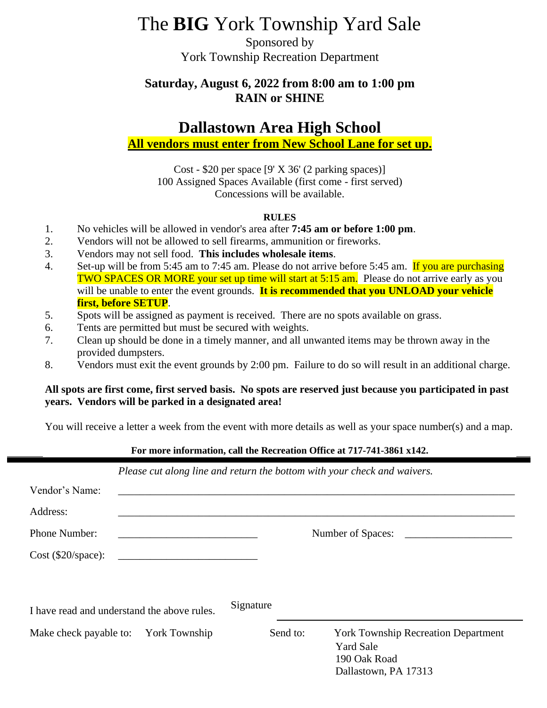# The **BIG** York Township Yard Sale

Sponsored by York Township Recreation Department

## **Saturday, August 6, 2022 from 8:00 am to 1:00 pm RAIN or SHINE**

# **Dallastown Area High School**

### **All vendors must enter from New School Lane for set up.**

Cost - \$20 per space  $[9' \times 36' (2 \text{ parking spaces})]$ 100 Assigned Spaces Available (first come - first served) Concessions will be available.

#### **RULES**

- 1. No vehicles will be allowed in vendor's area after **7:45 am or before 1:00 pm**.
- 2. Vendors will not be allowed to sell firearms, ammunition or fireworks.
- 3. Vendors may not sell food. **This includes wholesale items**.
- 4. Set-up will be from 5:45 am to 7:45 am. Please do not arrive before 5:45 am. If you are purchasing TWO SPACES OR MORE your set up time will start at 5:15 am. Please do not arrive early as you will be unable to enter the event grounds. **It is recommended that you UNLOAD your vehicle first, before SETUP**.
- 5. Spots will be assigned as payment is received. There are no spots available on grass.
- 6. Tents are permitted but must be secured with weights.
- 7. Clean up should be done in a timely manner, and all unwanted items may be thrown away in the provided dumpsters.
- 8. Vendors must exit the event grounds by 2:00 pm. Failure to do so will result in an additional charge.

#### **All spots are first come, first served basis. No spots are reserved just because you participated in past years. Vendors will be parked in a designated area!**

You will receive a letter a week from the event with more details as well as your space number(s) and a map.

#### **For more information, call the Recreation Office at 717-741-3861 x142.**

|                                             |                                                      |           |          | Please cut along line and return the bottom with your check and waivers. |
|---------------------------------------------|------------------------------------------------------|-----------|----------|--------------------------------------------------------------------------|
| Vendor's Name:                              |                                                      |           |          |                                                                          |
| Address:                                    |                                                      |           |          |                                                                          |
| Phone Number:                               |                                                      |           |          |                                                                          |
| $Cost (\$20/space):$                        | <u> 1980 - Jan Barbara Barbara, maskin politik (</u> |           |          |                                                                          |
|                                             |                                                      |           |          |                                                                          |
| I have read and understand the above rules. |                                                      | Signature |          |                                                                          |
| Make check payable to: York Township        |                                                      |           | Send to: | <b>York Township Recreation Department</b>                               |
|                                             |                                                      |           |          | <b>Yard Sale</b>                                                         |
|                                             |                                                      |           |          | 190 Oak Road                                                             |
|                                             |                                                      |           |          | Dallastown, PA 17313                                                     |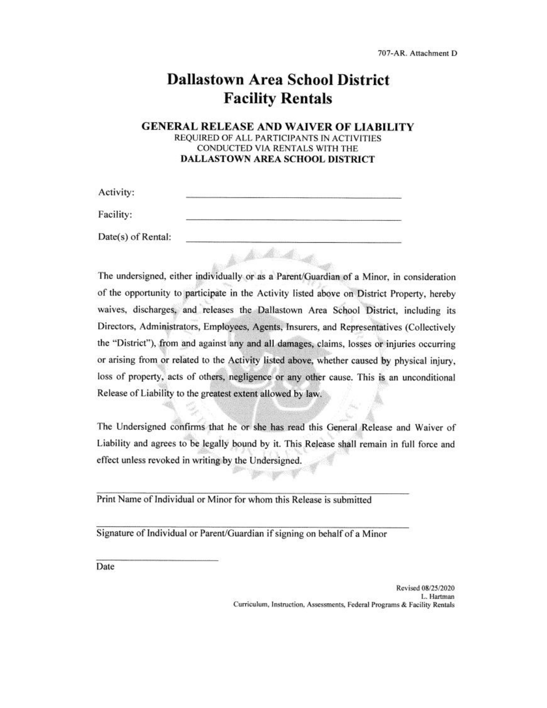# **Dallastown Area School District Facility Rentals**

#### **GENERAL RELEASE AND WAIVER OF LIABILITY** REQUIRED OF ALL PARTICIPANTS IN ACTIVITIES CONDUCTED VIA RENTALS WITH THE **DALLASTOWN AREA SCHOOL DISTRICT**

| Activity:          |  |
|--------------------|--|
| Facility:          |  |
| Date(s) of Rental: |  |
|                    |  |

The undersigned, either individually or as a Parent/Guardian of a Minor, in consideration of the opportunity to participate in the Activity listed above on District Property, hereby waives, discharges, and releases the Dallastown Area School District, including its Directors, Administrators, Employees, Agents, Insurers, and Representatives (Collectively the "District"), from and against any and all damages, claims, losses or injuries occurring or arising from or related to the Activity listed above, whether caused by physical injury, loss of property, acts of others, negligence or any other cause. This is an unconditional Release of Liability to the greatest extent allowed by law.

The Undersigned confirms that he or she has read this General Release and Waiver of Liability and agrees to be legally bound by it. This Release shall remain in full force and effect unless revoked in writing by the Undersigned.

Print Name of Individual or Minor for whom this Release is submitted

Signature of Individual or Parent/Guardian if signing on behalf of a Minor

Date